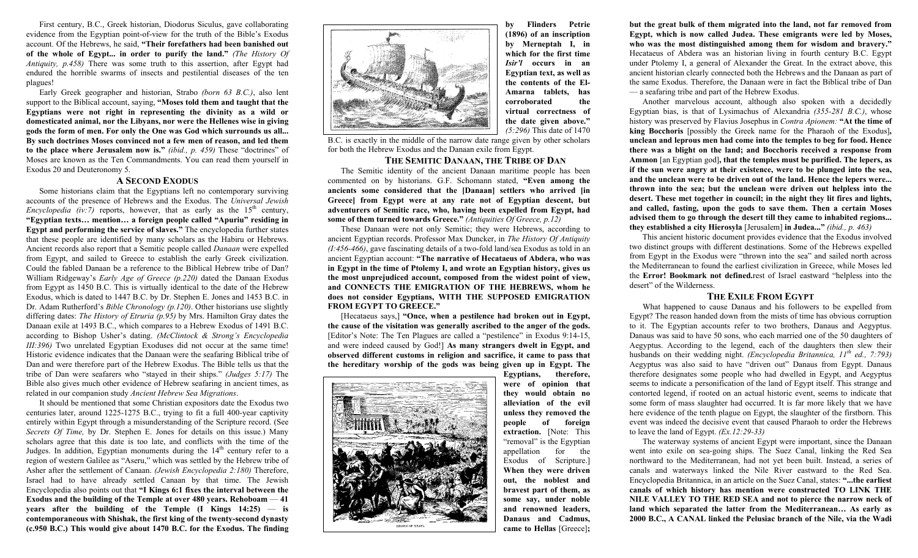First century, B.C., Greek historian, Diodorus Siculus, gave collaborating evidence from the Egyptian point-of-view for the truth of the Bible's Exodus account. Of the Hebrews, he said, **"Their forefathers had been banished out of the whole of Egypt... in order to purify the land."** *(The History Of Antiquity, p.458)* There was some truth to this assertion, after Egypt had endured the horrible swarms of insects and pestilential diseases of the ten plagues!

 Early Greek geographer and historian, Strabo *(born 63 B.C.)*, also lent support to the Biblical account, saying, **"Moses told them and taught that the Egyptians were not right in representing the divinity as a wild or domesticated animal, nor the Libyans, nor were the Hellenes wise in giving gods the form of men. For only the One was God which surrounds us all... By such doctrines Moses convinced not a few men of reason, and led them to the place where Jerusalem now is."** *(ibid., p. 459)* These "doctrines" of Moses are known as the Ten Commandments. You can read them yourself in Exodus 20 and Deuteronomy 5.

#### **A SECOND EXODUS**

 Some historians claim that the Egyptians left no contemporary surviving accounts of the presence of Hebrews and the Exodus. The *Universal Jewish Encyclopedia (iv:7)* reports, however, that as early as the  $15<sup>th</sup>$  century, **"Egyptian texts… mention… a foreign people called "Apuriu" residing in Egypt and performing the service of slaves."** The encyclopedia further states that these people are identified by many scholars as the Habiru or Hebrews. Ancient records also report that a Semitic people called *Danaan* were expelled from Egypt, and sailed to Greece to establish the early Greek civilization. Could the fabled Danaan be a reference to the Biblical Hebrew tribe of Dan? William Ridgeway's *Early Age of Greece (p.220)* dated the Danaan Exodus from Egypt as 1450 B.C. This is virtually identical to the date of the Hebrew Exodus, which is dated to 1447 B.C. by Dr. Stephen E. Jones and 1453 B.C. in Dr. Adam Rutherford's *Bible Chronology (p.120)*. Other historians use slightly differing dates: *The History of Etruria (p.95)* by Mrs. Hamilton Gray dates the Danaan exile at 1493 B.C., which compares to a Hebrew Exodus of 1491 B.C. according to Bishop Usher's dating. *(McClintock & Strong's Encyclopedia III:396)* Two unrelated Egyptian Exoduses did not occur at the same time! Historic evidence indicates that the Danaan were the seafaring Biblical tribe of Dan and were therefore part of the Hebrew Exodus. The Bible tells us that the tribe of Dan were seafarers who "stayed in their ships." *(Judges 5:17)* The Bible also gives much other evidence of Hebrew seafaring in ancient times, as related in our companion study *Ancient Hebrew Sea Migrations*.

It should be mentioned that some Christian expositors date the Exodus two centuries later, around 1225-1275 B.C., trying to fit a full 400-year captivity entirely within Egypt through a misunderstanding of the Scripture record. (See *Secrets Of Time,* by Dr. Stephen E. Jones for details on this issue.) Many scholars agree that this date is too late, and conflicts with the time of the Judges. In addition, Egyptian monuments during the  $14<sup>th</sup>$  century refer to a region of western Galilee as "Aseru," which was settled by the Hebrew tribe of Asher after the settlement of Canaan. *(Jewish Encyclopedia 2:180)* Therefore, Israel had to have already settled Canaan by that time. The Jewish Encyclopedia also points out that **"I Kings 6:1 fixes the interval between the Exodus and the building of the Temple at over 480 years. Rehoboam** — **41 years after the building of the Temple (I Kings 14:25)** — **is contemporaneous with Shishak, the first king of the twenty-second dynasty (c.950 B.C.) This would give about 1470 B.C. for the Exodus. The finding** 



**by Flinders Petrie (1896) of an inscription by Merneptah I, in which for the first time** *Isir'l* **occurs in an Egyptian text, as well as the contents of the El-Amarna tablets, has corroborated the virtual correctness of the date given above."** *(5:296)* This date of 1470

B.C. is exactly in the middle of the narrow date range given by other scholars for both the Hebrew Exodus and the Danaan exile from Egypt.

### **THE SEMITIC DANAAN, THE TRIBE OF DAN**

The Semitic identity of the ancient Danaan maritime people has been commented on by historians. G.F. Schomann stated, **"Even among the ancients some considered that the [Danaan] settlers who arrived [in Greece] from Egypt were at any rate not of Egyptian descent, but adventurers of Semitic race, who, having been expelled from Egypt, had some of them turned towards Greece."** *(Antiquities Of Greece, p.12)* 

 These Danaan were not only Semitic; they were Hebrews, according to ancient Egyptian records. Professor Max Duncker, in *The History Of Antiquity (I:456-466)*, gave fascinating details of a two-fold land/sea Exodus as told in an ancient Egyptian account: **"The narrative of Hecataeus of Abdera, who was in Egypt in the time of Ptolemy I, and wrote an Egyptian history, gives us the most unprejudiced account, composed from the widest point of view, and CONNECTS THE EMIGRATION OF THE HEBREWS, whom he does not consider Egyptians, WITH THE SUPPOSED EMIGRATION FROM EGYPT TO GREECE."** 

[Hecataeus says,] **"Once, when a pestilence had broken out in Egypt, the cause of the visitation was generally ascribed to the anger of the gods.** [Editor's Note: The Ten Plagues are called a "pestilence" in Exodus 9:14-15, and were indeed caused by God!] **As many strangers dwelt in Egypt, and observed different customs in religion and sacrifice, it came to pass that the hereditary worship of the gods was being given up in Egypt. The** 



**Egyptians, therefore, were of opinion that they would obtain no alleviation of the evil unless they removed the people of foreign extraction.** [Note: This "removal" is the Egyptian appellation for the Exodus of Scripture.] **When they were driven out, the noblest and bravest part of them, as some say, under noble and renowned leaders, Danaus and Cadmus, came to Hellas** [Greece]**;** 

**but the great bulk of them migrated into the land, not far removed from Egypt, which is now called Judea. These emigrants were led by Moses, who was the most distinguished among them for wisdom and bravery."** Hecataeus of Abdera was an historian living in fourth century B.C. Egypt under Ptolemy I, a general of Alexander the Great. In the extract above, this ancient historian clearly connected both the Hebrews and the Danaan as part of the same Exodus. Therefore, the Danaan were in fact the Biblical tribe of Dan — a seafaring tribe and part of the Hebrew Exodus.

 Another marvelous account, although also spoken with a decidedly Egyptian bias, is that of Lysimachus of Alexandria *(355-281 B.C.)*, whose history was preserved by Flavius Josephus in *Contra Apionem:* **"At the time of king Bocchoris** [possibly the Greek name for the Pharaoh of the Exodus]**, unclean and leprous men had come into the temples to beg for food. Hence there was a blight on the land; and Bocchoris received a response from Ammon** [an Egyptian god]**, that the temples must be purified. The lepers, as if the sun were angry at their existence, were to be plunged into the sea, and the unclean were to be driven out of the land. Hence the lepers were... thrown into the sea; but the unclean were driven out helpless into the desert. These met together in council; in the night they lit fires and lights, and called, fasting, upon the gods to save them. Then a certain Moses advised them to go through the desert till they came to inhabited regions... they established a city Hierosyla** [Jerusalem] **in Judea..."** *(ibid., p. 463)*

 This ancient historic document provides evidence that the Exodus involved two distinct groups with different destinations. Some of the Hebrews expelled from Egypt in the Exodus were "thrown into the sea" and sailed north across the Mediterranean to found the earliest civilization in Greece, while Moses led the **Error! Bookmark not defined.**rest of Israel eastward "helpless into the desert" of the Wilderness.

## **THE EXILE FROM EGYPT**

 What happened to cause Danaus and his followers to be expelled from Egypt? The reason handed down from the mists of time has obvious corruption to it. The Egyptian accounts refer to two brothers, Danaus and Aegyptus. Danaus was said to have 50 sons, who each married one of the 50 daughters of Aegyptus. According to the legend, each of the daughters then slew their husbands on their wedding night. *(Encyclopedia Britannica, 11th ed., 7:793)* Aegyptus was also said to have "driven out" Danaus from Egypt. Danaus therefore designates some people who had dwelled in Egypt, and Aegyptus seems to indicate a personification of the land of Egypt itself. This strange and contorted legend, if rooted on an actual historic event, seems to indicate that some form of mass slaughter had occurred. It is far more likely that we have here evidence of the tenth plague on Egypt, the slaughter of the firstborn. This event was indeed the decisive event that caused Pharaoh to order the Hebrews to leave the land of Egypt. *(Ex.12:29-33)* 

 The waterway systems of ancient Egypt were important, since the Danaan went into exile on sea-going ships. The Suez Canal, linking the Red Sea northward to the Mediterranean, had not yet been built. Instead, a series of canals and waterways linked the Nile River eastward to the Red Sea. Encyclopedia Britannica, in an article on the Suez Canal, states: **"...the earliest canals of which history has mention were constructed TO LINK THE NILE VALLEY TO THE RED SEA and not to pierce the narrow neck of land which separated the latter from the Mediterranean… As early as 2000 B.C., A CANAL linked the Pelusiac branch of the Nile, via the Wadi**